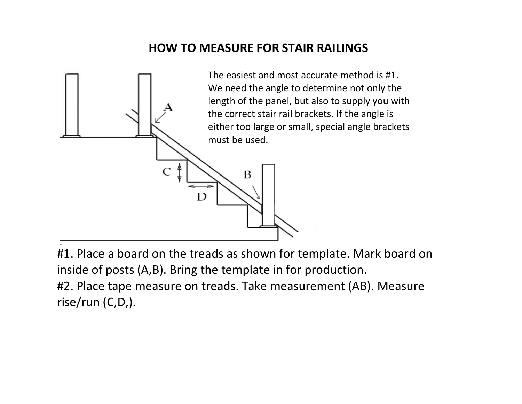## **HOW TO MEASURE FOR STAIR RAILINGS**



#1. Place a board on the treads as shown for template. Mark board on inside of posts (A,B). Bring the template in for production. #2. Place tape measure on treads. Take measurement (AB). Measure rise/run (C,D,).